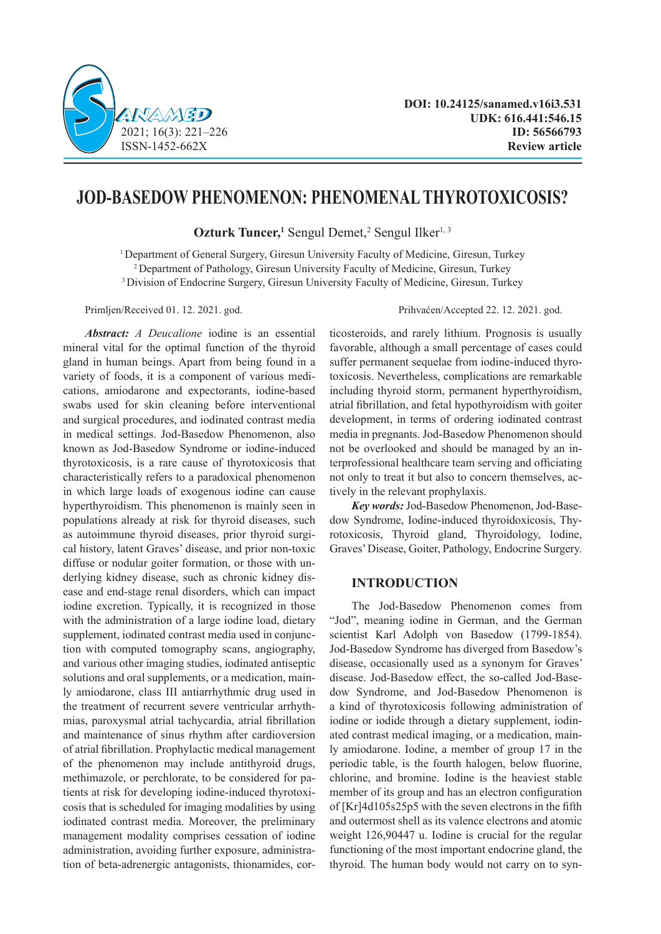

# **JOD-BASEDOW PHENOMENON: PHENOMENAL THYROTOXICOSIS?**

**Ozturk Tuncer,**<sup>1</sup> Sengul Demet,<sup>2</sup> Sengul Ilker<sup>1, 3</sup>

<sup>1</sup> Department of General Surgery, Giresun University Faculty of Medicine, Giresun, Turkey 2 Department of Pathology, Giresun University Faculty of Medicine, Giresun, Turkey 3 Division of Endocrine Surgery, Giresun University Faculty of Medicine, Giresun, Turkey

*Abstract: A Deucalione* iodine is an essential mineral vital for the optimal function of the thyroid gland in human beings. Apart from being found in a variety of foods, it is a component of various medications, amiodarone and expectorants, iodine-based swabs used for skin cleaning before interventional and surgical procedures, and iodinated contrast media in medical settings. Jod-Basedow Phenomenon, also known as Jod-Basedow Syndrome or iodine-induced thyrotoxicosis, is a rare cause of thyrotoxicosis that characteristically refers to a paradoxical phenomenon in which large loads of exogenous iodine can cause hyperthyroidism. This phenomenon is mainly seen in populations already at risk for thyroid diseases, such as autoimmune thyroid diseases, prior thyroid surgical history, latent Graves' disease, and prior non-toxic diffuse or nodular goiter formation, or those with underlying kidney disease, such as chronic kidney disease and end-stage renal disorders, which can impact iodine excretion. Typically, it is recognized in those with the administration of a large iodine load, dietary supplement, iodinated contrast media used in conjunction with computed tomography scans, angiography, and various other imaging studies, iodinated antiseptic solutions and oral supplements, or a medication, mainly amiodarone, class III antiarrhythmic drug used in the treatment of recurrent severe ventricular arrhythmias, paroxysmal atrial tachycardia, atrial fibrillation and maintenance of sinus rhythm after cardioversion of atrial fibrillation. Prophylactic medical management of the phenomenon may include antithyroid drugs, methimazole, or perchlorate, to be considered for patients at risk for developing iodine-induced thyrotoxicosis that is scheduled for imaging modalities by using iodinated contrast media. Moreover, the preliminary management modality comprises cessation of iodine administration, avoiding further exposure, administration of beta-adrenergic antagonists, thionamides, cor-

Primljen/Received 01. 12. 2021. god. Prihvaćen/Accepted 22. 12. 2021. god.

ticosteroids, and rarely lithium. Prognosis is usually favorable, although a small percentage of cases could suffer permanent sequelae from iodine-induced thyrotoxicosis. Nevertheless, complications are remarkable including thyroid storm, permanent hyperthyroidism, atrial fibrillation, and fetal hypothyroidism with goiter development, in terms of ordering iodinated contrast media in pregnants. Jod-Basedow Phenomenon should not be overlooked and should be managed by an interprofessional healthcare team serving and officiating not only to treat it but also to concern themselves, actively in the relevant prophylaxis.

*Key words:* Jod-Basedow Phenomenon, Jod-Basedow Syndrome, Iodine-induced thyroidoxicosis, Thyrotoxicosis, Thyroid gland, Thyroidology, Iodine, Graves' Disease, Goiter, Pathology, Endocrine Surgery.

# **INTRODUCTION**

The Jod-Basedow Phenomenon comes from "Jod", meaning iodine in German, and the German scientist Karl Adolph von Basedow (1799-1854). Jod-Basedow Syndrome has diverged from Basedow's disease, occasionally used as a synonym for Graves' disease. Jod-Basedow effect, the so-called Jod-Basedow Syndrome, and Jod-Basedow Phenomenon is a kind of thyrotoxicosis following administration of iodine or iodide through a dietary supplement, iodinated contrast medical imaging, or a medication, mainly amiodarone. Iodine, a member of group 17 in the periodic table, is the fourth halogen, below fluorine, chlorine, and bromine. Iodine is the heaviest stable member of its group and has an electron configuration of [Kr]4d105s25p5 with the seven electrons in the fifth and outermost shell as its valence electrons and atomic weight 126,90447 u. Iodine is crucial for the regular functioning of the most important endocrine gland, the thyroid. The human body would not carry on to syn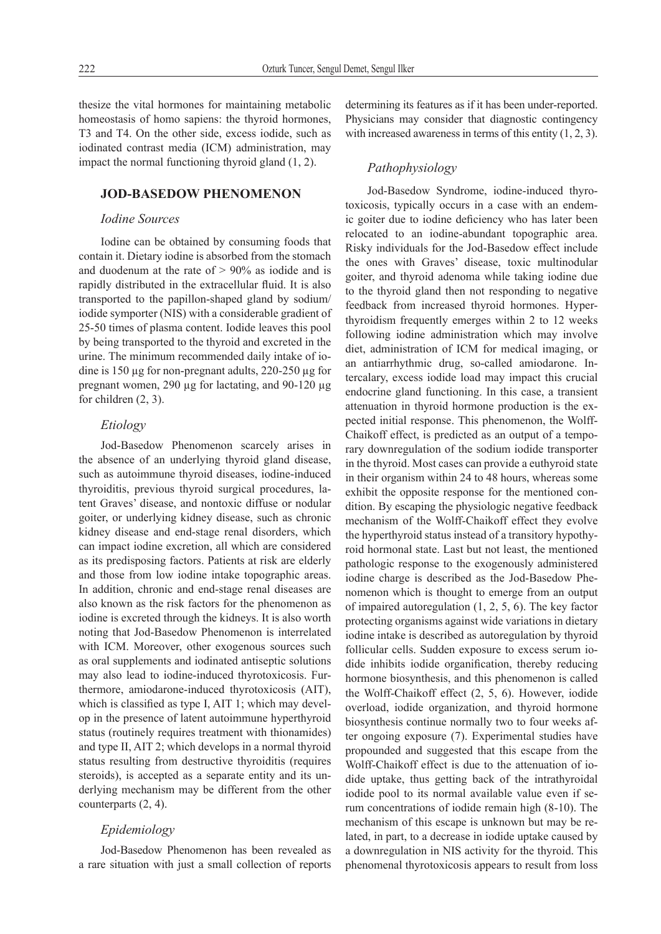thesize the vital hormones for maintaining metabolic homeostasis of homo sapiens: the thyroid hormones, T3 and T4. On the other side, excess iodide, such as iodinated contrast media (ICM) administration, may impact the normal functioning thyroid gland (1, 2).

# **JOD-BASEDOW PHENOMENON**

## *Iodine Sources*

Iodine can be obtained by consuming foods that contain it. Dietary iodine is absorbed from the stomach and duodenum at the rate of  $> 90\%$  as iodide and is rapidly distributed in the extracellular fluid. It is also transported to the papillon-shaped gland by sodium/ iodide symporter (NIS) with a considerable gradient of 25-50 times of plasma content. Iodide leaves this pool by being transported to the thyroid and excreted in the urine. The minimum recommended daily intake of iodine is 150 µg for non-pregnant adults, 220-250 µg for pregnant women, 290 µg for lactating, and 90-120 µg for children (2, 3).

# *Etiology*

Jod-Basedow Phenomenon scarcely arises in the absence of an underlying thyroid gland disease, such as autoimmune thyroid diseases, iodine-induced thyroiditis, previous thyroid surgical procedures, latent Graves' disease, and nontoxic diffuse or nodular goiter, or underlying kidney disease, such as chronic kidney disease and end-stage renal disorders, which can impact iodine excretion, all which are considered as its predisposing factors. Patients at risk are elderly and those from low iodine intake topographic areas. In addition, chronic and end-stage renal diseases are also known as the risk factors for the phenomenon as iodine is excreted through the kidneys. It is also worth noting that Jod-Basedow Phenomenon is interrelated with ICM. Moreover, other exogenous sources such as oral supplements and iodinated antiseptic solutions may also lead to iodine-induced thyrotoxicosis. Furthermore, amiodarone-induced thyrotoxicosis (AIT), which is classified as type I, AIT 1; which may develop in the presence of latent autoimmune hyperthyroid status (routinely requires treatment with thionamides) and type II, AIT 2; which develops in a normal thyroid status resulting from destructive thyroiditis (requires steroids), is accepted as a separate entity and its underlying mechanism may be different from the other counterparts (2, 4).

# *Epidemiology*

Jod-Basedow Phenomenon has been revealed as a rare situation with just a small collection of reports determining its features as if it has been under-reported. Physicians may consider that diagnostic contingency with increased awareness in terms of this entity  $(1, 2, 3)$ .

# *Pathophysiology*

Jod-Basedow Syndrome, iodine-induced thyrotoxicosis, typically occurs in a case with an endemic goiter due to iodine deficiency who has later been relocated to an iodine-abundant topographic area. Risky individuals for the Jod-Basedow effect include the ones with Graves' disease, toxic multinodular goiter, and thyroid adenoma while taking iodine due to the thyroid gland then not responding to negative feedback from increased thyroid hormones. Hyperthyroidism frequently emerges within 2 to 12 weeks following iodine administration which may involve diet, administration of ICM for medical imaging, or an antiarrhythmic drug, so-called amiodarone. Intercalary, excess iodide load may impact this crucial endocrine gland functioning. In this case, a transient attenuation in thyroid hormone production is the expected initial response. This phenomenon, the Wolff-Chaikoff effect, is predicted as an output of a temporary downregulation of the sodium iodide transporter in the thyroid. Most cases can provide a euthyroid state in their organism within 24 to 48 hours, whereas some exhibit the opposite response for the mentioned condition. By escaping the physiologic negative feedback mechanism of the Wolff-Chaikoff effect they evolve the hyperthyroid status instead of a transitory hypothyroid hormonal state. Last but not least, the mentioned pathologic response to the exogenously administered iodine charge is described as the Jod-Basedow Phenomenon which is thought to emerge from an output of impaired autoregulation (1, 2, 5, 6). The key factor protecting organisms against wide variations in dietary iodine intake is described as autoregulation by thyroid follicular cells. Sudden exposure to excess serum iodide inhibits iodide organification, thereby reducing hormone biosynthesis, and this phenomenon is called the Wolff-Chaikoff effect (2, 5, 6). However, iodide overload, iodide organization, and thyroid hormone biosynthesis continue normally two to four weeks after ongoing exposure (7). Experimental studies have propounded and suggested that this escape from the Wolff-Chaikoff effect is due to the attenuation of iodide uptake, thus getting back of the intrathyroidal iodide pool to its normal available value even if serum concentrations of iodide remain high (8-10). The mechanism of this escape is unknown but may be related, in part, to a decrease in iodide uptake caused by a downregulation in NIS activity for the thyroid. This phenomenal thyrotoxicosis appears to result from loss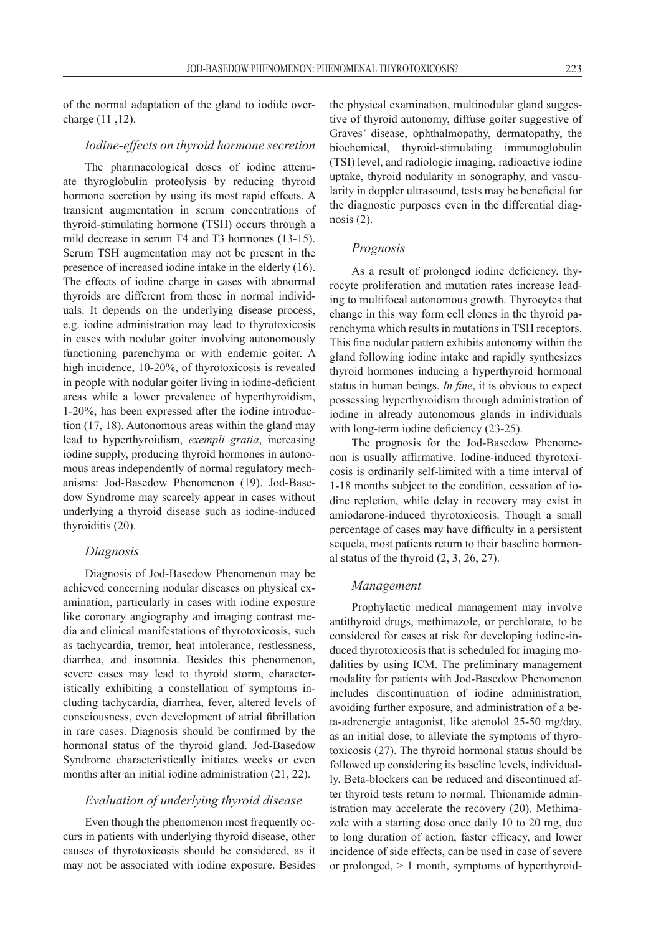of the normal adaptation of the gland to iodide overcharge (11 ,12).

#### *Iodine-effects on thyroid hormone secretion*

The pharmacological doses of iodine attenuate thyroglobulin proteolysis by reducing thyroid hormone secretion by using its most rapid effects. A transient augmentation in serum concentrations of thyroid-stimulating hormone (TSH) occurs through a mild decrease in serum T4 and T3 hormones (13-15). Serum TSH augmentation may not be present in the presence of increased iodine intake in the elderly (16). The effects of iodine charge in cases with abnormal thyroids are different from those in normal individuals. It depends on the underlying disease process, e.g. iodine administration may lead to thyrotoxicosis in cases with nodular goiter involving autonomously functioning parenchyma or with endemic goiter. A high incidence, 10-20%, of thyrotoxicosis is revealed in people with nodular goiter living in iodine-deficient areas while a lower prevalence of hyperthyroidism, 1-20%, has been expressed after the iodine introduction (17, 18). Autonomous areas within the gland may lead to hyperthyroidism, *exempli gratia*, increasing iodine supply, producing thyroid hormones in autonomous areas independently of normal regulatory mechanisms: Jod-Basedow Phenomenon (19). Jod-Basedow Syndrome may scarcely appear in cases without underlying a thyroid disease such as iodine-induced thyroiditis (20).

### *Diagnosis*

Diagnosis of Jod-Basedow Phenomenon may be achieved concerning nodular diseases on physical examination, particularly in cases with iodine exposure like coronary angiography and imaging contrast media and clinical manifestations of thyrotoxicosis, such as tachycardia, tremor, heat intolerance, restlessness, diarrhea, and insomnia. Besides this phenomenon, severe cases may lead to thyroid storm, characteristically exhibiting a constellation of symptoms including tachycardia, diarrhea, fever, altered levels of consciousness, even development of atrial fibrillation in rare cases. Diagnosis should be confirmed by the hormonal status of the thyroid gland. Jod-Basedow Syndrome characteristically initiates weeks or even months after an initial iodine administration (21, 22).

## *Evaluation of underlying thyroid disease*

Even though the phenomenon most frequently occurs in patients with underlying thyroid disease, other causes of thyrotoxicosis should be considered, as it may not be associated with iodine exposure. Besides

the physical examination, multinodular gland suggestive of thyroid autonomy, diffuse goiter suggestive of Graves' disease, ophthalmopathy, dermatopathy, the biochemical, thyroid-stimulating immunoglobulin (TSI) level, and radiologic imaging, radioactive iodine uptake, thyroid nodularity in sonography, and vascularity in doppler ultrasound, tests may be beneficial for the diagnostic purposes even in the differential diagnosis  $(2)$ .

#### *Prognosis*

As a result of prolonged iodine deficiency, thyrocyte proliferation and mutation rates increase leading to multifocal autonomous growth. Thyrocytes that change in this way form cell clones in the thyroid parenchyma which results in mutations in TSH receptors. This fine nodular pattern exhibits autonomy within the gland following iodine intake and rapidly synthesizes thyroid hormones inducing a hyperthyroid hormonal status in human beings. *In fine*, it is obvious to expect possessing hyperthyroidism through administration of iodine in already autonomous glands in individuals with long-term iodine deficiency  $(23-25)$ .

The prognosis for the Jod-Basedow Phenomenon is usually affirmative. Iodine-induced thyrotoxicosis is ordinarily self-limited with a time interval of 1-18 months subject to the condition, cessation of iodine repletion, while delay in recovery may exist in amiodarone-induced thyrotoxicosis. Though a small percentage of cases may have difficulty in a persistent sequela, most patients return to their baseline hormonal status of the thyroid  $(2, 3, 26, 27)$ .

#### *Management*

Prophylactic medical management may involve antithyroid drugs, methimazole, or perchlorate, to be considered for cases at risk for developing iodine-induced thyrotoxicosis that is scheduled for imaging modalities by using ICM. The preliminary management modality for patients with Jod-Basedow Phenomenon includes discontinuation of iodine administration, avoiding further exposure, and administration of a beta-adrenergic antagonist, like atenolol 25-50 mg/day, as an initial dose, to alleviate the symptoms of thyrotoxicosis (27). The thyroid hormonal status should be followed up considering its baseline levels, individually. Beta-blockers can be reduced and discontinued after thyroid tests return to normal. Thionamide administration may accelerate the recovery (20). Methimazole with a starting dose once daily 10 to 20 mg, due to long duration of action, faster efficacy, and lower incidence of side effects, can be used in case of severe or prolonged, > 1 month, symptoms of hyperthyroid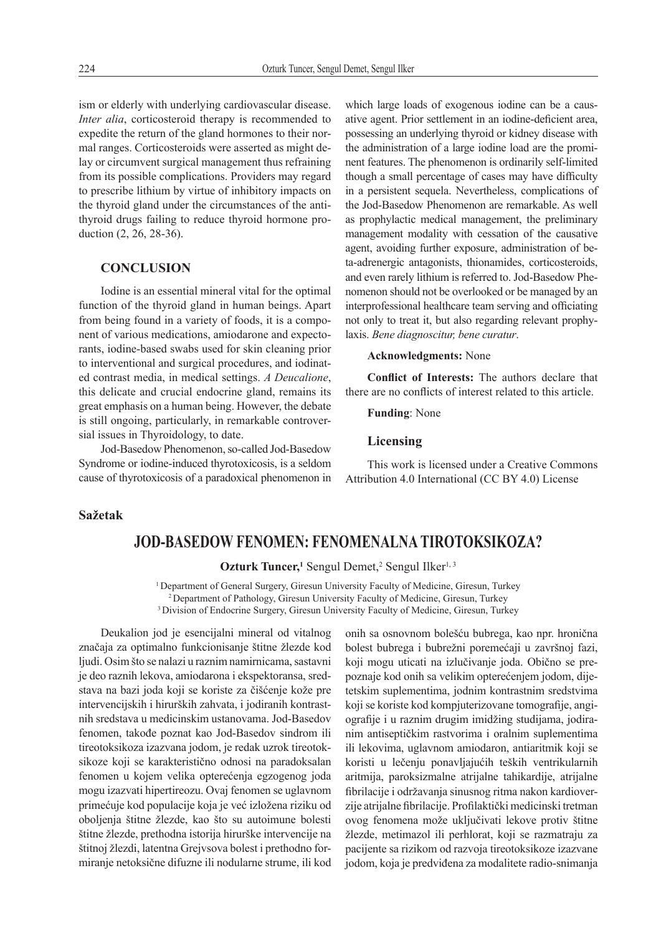ism or elderly with underlying cardiovascular disease. *Inter alia*, corticosteroid therapy is recommended to expedite the return of the gland hormones to their normal ranges. Corticosteroids were asserted as might delay or circumvent surgical management thus refraining from its possible complications. Providers may regard to prescribe lithium by virtue of inhibitory impacts on the thyroid gland under the circumstances of the antithyroid drugs failing to reduce thyroid hormone production (2, 26, 28-36).

# **CONCLUSION**

Iodine is an essential mineral vital for the optimal function of the thyroid gland in human beings. Apart from being found in a variety of foods, it is a component of various medications, amiodarone and expectorants, iodine-based swabs used for skin cleaning prior to interventional and surgical procedures, and iodinated contrast media, in medical settings. *A Deucalione*, this delicate and crucial endocrine gland, remains its great emphasis on a human being. However, the debate is still ongoing, particularly, in remarkable controversial issues in Thyroidology, to date.

Jod-Basedow Phenomenon, so-called Jod-Basedow Syndrome or iodine-induced thyrotoxicosis, is a seldom cause of thyrotoxicosis of a paradoxical phenomenon in

which large loads of exogenous iodine can be a causative agent. Prior settlement in an iodine-deficient area, possessing an underlying thyroid or kidney disease with the administration of a large iodine load are the prominent features. The phenomenon is ordinarily self-limited though a small percentage of cases may have difficulty in a persistent sequela. Nevertheless, complications of the Jod-Basedow Phenomenon are remarkable. As well as prophylactic medical management, the preliminary management modality with cessation of the causative agent, avoiding further exposure, administration of beta-adrenergic antagonists, thionamides, corticosteroids, and even rarely lithium is referred to. Jod-Basedow Phenomenon should not be overlooked or be managed by an interprofessional healthcare team serving and officiating not only to treat it, but also regarding relevant prophylaxis. *Bene diagnoscitur, bene curatur*.

#### **Acknowledgments:** None

**Conflict of Interests:** The authors declare that there are no conflicts of interest related to this article.

**Funding**: None

### **Licensing**

This work is licensed under a Creative Commons Attribution 4.0 International (CC BY 4.0) License

# **Sažetak**

# **JOD-BASEDOW FENOMEN: FENOMENALNA TIROTOKSIKOZA?**

Ozturk Tuncer,<sup>1</sup> Sengul Demet,<sup>2</sup> Sengul Ilker<sup>1,3</sup>

<sup>1</sup> Department of General Surgery, Giresun University Faculty of Medicine, Giresun, Turkey 2 Department of Pathology, Giresun University Faculty of Medicine, Giresun, Turkey 3 Division of Endocrine Surgery, Giresun University Faculty of Medicine, Giresun, Turkey

Deukalion jod je esencijalni mineral od vitalnog značaja za optimalno funkcionisanje štitne žlezde kod ljudi. Osim što se nalazi u raznim namirnicama, sastavni je deo raznih lekova, amiodarona i ekspektoransa, sredstava na bazi joda koji se koriste za čišćenje kože pre intervencijskih i hirurških zahvata, i jodiranih kontrastnih sredstava u medicinskim ustanovama. Jod-Basedov fenomen, takođe poznat kao Jod-Basedov sindrom ili tireotoksikoza izazvana jodom, je redak uzrok tireotoksikoze koji se karakteristično odnosi na paradoksalan fenomen u kojem velika opterećenja egzogenog joda mogu izazvati hipertireozu. Ovaj fenomen se uglavnom primećuje kod populacije koja je već izložena riziku od oboljenja štitne žlezde, kao što su autoimune bolesti štitne žlezde, prethodna istorija hirurške intervencije na štitnoj žlezdi, latentna Grejvsova bolest i prethodno formiranje netoksične difuzne ili nodularne strume, ili kod

onih sa osnovnom bolešću bubrega, kao npr. hronična bolest bubrega i bubrežni poremećaji u završnoj fazi, koji mogu uticati na izlučivanje joda. Obično se prepoznaje kod onih sa velikim opterećenjem jodom, dijetetskim suplementima, jodnim kontrastnim sredstvima koji se koriste kod kompjuterizovane tomografije, angiografije i u raznim drugim imidžing studijama, jodiranim antiseptičkim rastvorima i oralnim suplementima ili lekovima, uglavnom amiodaron, antiaritmik koji se koristi u lečenju ponavljajućih teških ventrikularnih aritmija, paroksizmalne atrijalne tahikardije, atrijalne fibrilacije i održavanja sinusnog ritma nakon kardioverzije atrijalne fibrilacije. Profilaktički medicinski tretman ovog fenomena može uključivati lekove protiv štitne žlezde, metimazol ili perhlorat, koji se razmatraju za pacijente sa rizikom od razvoja tireotoksikoze izazvane jodom, koja je predviđena za modalitete radio-snimanja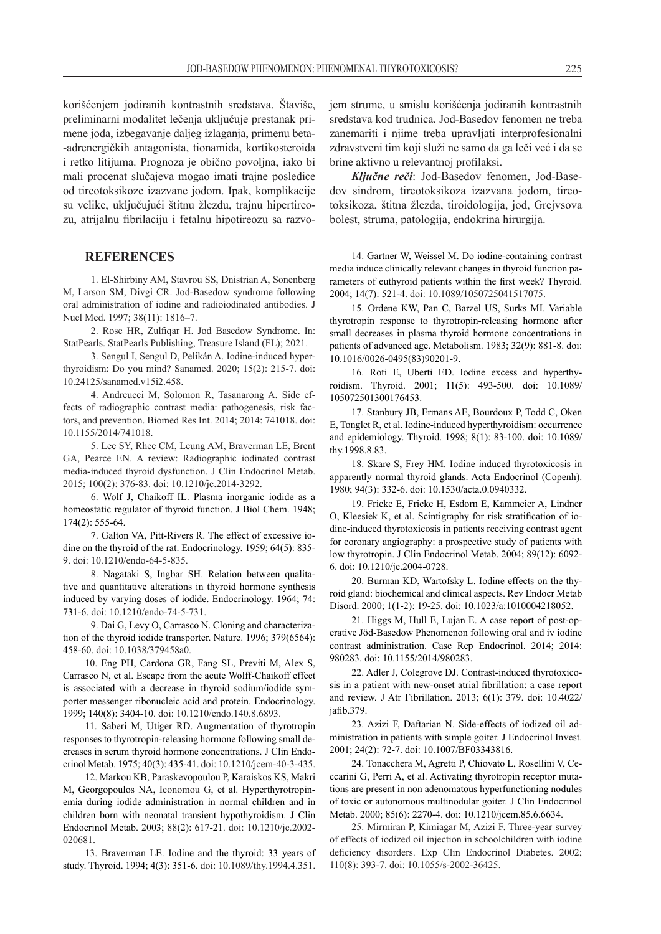korišćenjem jodiranih kontrastnih sredstava. Štaviše, preliminarni modalitet lečenja uključuje prestanak primene joda, izbegavanje daljeg izlaganja, primenu beta- -adrenergičkih antagonista, tionamida, kortikosteroida i retko litijuma. Prognoza je obično povoljna, iako bi mali procenat slučajeva mogao imati trajne posledice od tireotoksikoze izazvane jodom. Ipak, komplikacije su velike, uključujući štitnu žlezdu, trajnu hipertireozu, atrijalnu fibrilaciju i fetalnu hipotireozu sa razvo-

### **REFERENCES**

1. El-Shirbiny AM, Stavrou SS, Dnistrian A, Sonenberg M, Larson SM, Divgi CR. Jod-Basedow syndrome following oral administration of iodine and radioiodinated antibodies. J Nucl Med. 1997; 38(11): 1816–7.

2. Rose HR, Zulfiqar H. Jod Basedow Syndrome. In: StatPearls. StatPearls Publishing, Treasure Island (FL); 2021.

3. Sengul I, Sengul D, Pelikán A. Iodine-induced hyperthyroidism: Do you mind? Sanamed. 2020; 15(2): 215-7. doi: 10.24125/sanamed.v15i2.458.

4. Andreucci M, Solomon R, Tasanarong A. Side effects of radiographic contrast media: pathogenesis, risk factors, and prevention. Biomed Res Int. 2014; 2014: 741018. doi: 10.1155/2014/741018.

5. Lee SY, Rhee CM, Leung AM, Braverman LE, Brent GA, Pearce EN. A review: Radiographic iodinated contrast media-induced thyroid dysfunction. J Clin Endocrinol Metab. 2015; 100(2): 376-83. doi: 10.1210/jc.2014-3292.

6. Wolf J, Chaikoff IL. Plasma inorganic iodide as a homeostatic regulator of thyroid function. J Biol Chem. 1948; 174(2): 555-64.

7. Galton VA, Pitt-Rivers R. The effect of excessive iodine on the thyroid of the rat. Endocrinology. 1959; 64(5): 835- 9. doi: 10.1210/endo-64-5-835.

8. Nagataki S, Ingbar SH. Relation between qualitative and quantitative alterations in thyroid hormone synthesis induced by varying doses of iodide. Endocrinology. 1964; 74: 731-6. doi: 10.1210/endo-74-5-731.

9. Dai G, Levy O, Carrasco N. Cloning and characterization of the thyroid iodide transporter. Nature. 1996; 379(6564): 458-60. doi: 10.1038/379458a0.

10. Eng PH, Cardona GR, Fang SL, Previti M, Alex S, Carrasco N, et al. Escape from the acute Wolff-Chaikoff effect is associated with a decrease in thyroid sodium/iodide symporter messenger ribonucleic acid and protein. Endocrinology. 1999; 140(8): 3404-10. doi: 10.1210/endo.140.8.6893.

11. Saberi M, Utiger RD. Augmentation of thyrotropin responses to thyrotropin-releasing hormone following small decreases in serum thyroid hormone concentrations. J Clin Endocrinol Metab. 1975; 40(3): 435-41. doi: 10.1210/jcem-40-3-435.

12. Markou KB, Paraskevopoulou P, Karaiskos KS, Makri M, Georgopoulos NA, Iconomou G, et al. Hyperthyrotropinemia during iodide administration in normal children and in children born with neonatal transient hypothyroidism. J Clin Endocrinol Metab. 2003; 88(2): 617-21. doi: 10.1210/jc.2002- 020681.

13. Braverman LE. Iodine and the thyroid: 33 years of study. Thyroid. 1994; 4(3): 351-6. doi: 10.1089/thy.1994.4.351. jem strume, u smislu korišćenja jodiranih kontrastnih sredstava kod trudnica. Jod-Basedov fenomen ne treba zanemariti i njime treba upravljati interprofesionalni zdravstveni tim koji služi ne samo da ga leči već i da se brine aktivno u relevantnoj profilaksi.

*Ključne reči*: Jod-Basedov fenomen, Jod-Basedov sindrom, tireotoksikoza izazvana jodom, tireotoksikoza, štitna žlezda, tiroidologija, jod, Grejvsova bolest, struma, patologija, endokrina hirurgija.

14. Gartner W, Weissel M. Do iodine-containing contrast media induce clinically relevant changes in thyroid function parameters of euthyroid patients within the first week? Thyroid. 2004; 14(7): 521-4. doi: 10.1089/1050725041517075.

15. Ordene KW, Pan C, Barzel US, Surks MI. Variable thyrotropin response to thyrotropin-releasing hormone after small decreases in plasma thyroid hormone concentrations in patients of advanced age. Metabolism. 1983; 32(9): 881-8. doi: 10.1016/0026-0495(83)90201-9.

16. Roti E, Uberti ED. Iodine excess and hyperthyroidism. Thyroid. 2001; 11(5): 493-500. doi: 10.1089/ 105072501300176453.

17. Stanbury JB, Ermans AE, Bourdoux P, Todd C, Oken E, Tonglet R, et al. Iodine-induced hyperthyroidism: occurrence and epidemiology. Thyroid. 1998; 8(1): 83-100. doi: 10.1089/ thy.1998.8.83.

18. Skare S, Frey HM. Iodine induced thyrotoxicosis in apparently normal thyroid glands. Acta Endocrinol (Copenh). 1980; 94(3): 332-6. doi: 10.1530/acta.0.0940332.

19. Fricke E, Fricke H, Esdorn E, Kammeier A, Lindner O, Kleesiek K, et al. Scintigraphy for risk stratification of iodine-induced thyrotoxicosis in patients receiving contrast agent for coronary angiography: a prospective study of patients with low thyrotropin. J Clin Endocrinol Metab. 2004; 89(12): 6092- 6. doi: 10.1210/jc.2004-0728.

20. Burman KD, Wartofsky L. Iodine effects on the thyroid gland: biochemical and clinical aspects. Rev Endocr Metab Disord. 2000; 1(1-2): 19-25. doi: 10.1023/a:1010004218052.

21. Higgs M, Hull E, Lujan E. A case report of post-operative Jöd-Basedow Phenomenon following oral and iv iodine contrast administration. Case Rep Endocrinol. 2014; 2014: 980283. doi: 10.1155/2014/980283.

22. Adler J, Colegrove DJ. Contrast-induced thyrotoxicosis in a patient with new-onset atrial fibrillation: a case report and review. J Atr Fibrillation. 2013; 6(1): 379. doi: 10.4022/ jafib.379.

23. Azizi F, Daftarian N. Side-effects of iodized oil administration in patients with simple goiter. J Endocrinol Invest. 2001; 24(2): 72-7. doi: 10.1007/BF03343816.

24. Tonacchera M, Agretti P, Chiovato L, Rosellini V, Ceccarini G, Perri A, et al. Activating thyrotropin receptor mutations are present in non adenomatous hyperfunctioning nodules of toxic or autonomous multinodular goiter. J Clin Endocrinol Metab. 2000; 85(6): 2270-4. doi: 10.1210/jcem.85.6.6634.

25. Mirmiran P, Kimiagar M, Azizi F. Three-year survey of effects of iodized oil injection in schoolchildren with iodine deficiency disorders. Exp Clin Endocrinol Diabetes. 2002; 110(8): 393-7. doi: 10.1055/s-2002-36425.